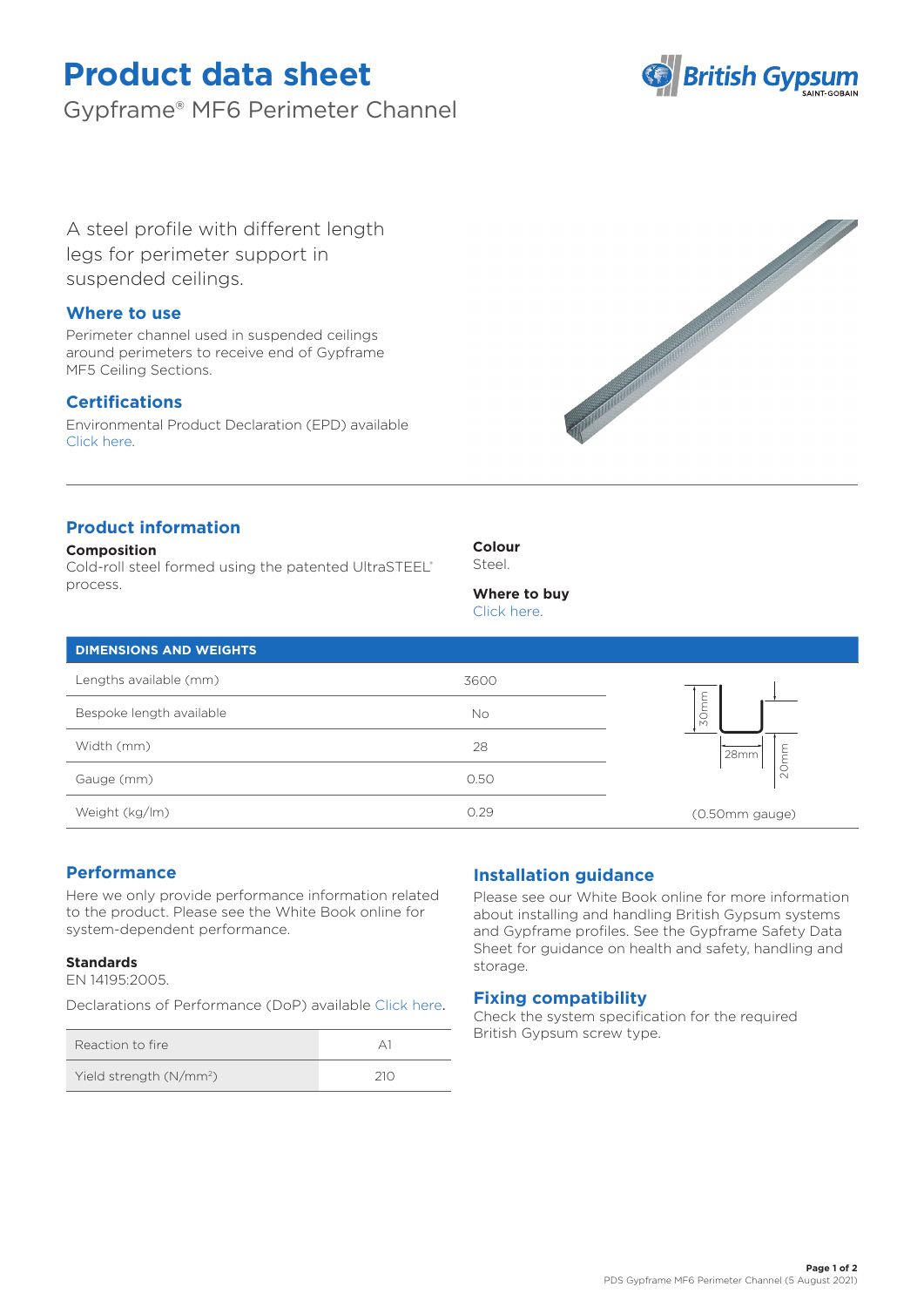# **Product data sheet**

Gypframe® MF6 Perimeter Channel



A steel profile with different length legs for perimeter support in suspended ceilings.

## **Where to use**

Perimeter channel used in suspended ceilings around perimeters to receive end of Gypframe MF5 Ceiling Sections.

# **Certifications**

Environmental Product Declaration (EPD) available [Click here.](https://www.british-gypsum.com/EPD)



# **Product information**

### **Composition**

Cold-roll steel formed using the patented UltraSTEEL® process.

**Colour** Steel.

# **Where to buy**

[Click here.](https://www.british-gypsum.com/stockist-locator)

| <b>DIMENSIONS AND WEIGHTS</b> |      |                           |
|-------------------------------|------|---------------------------|
| Lengths available (mm)        | 3600 |                           |
| Bespoke length available      | No   | ۲E<br>E<br>$\frac{5}{20}$ |
| Width (mm)                    | 28   | 28mm                      |
| Gauge (mm)                    | 0.50 | $\sim$                    |
| Weight (kg/lm)                | 0.29 | (0.50mm gauge)            |

## **Performance**

Here we only provide performance information related to the product. Please see the White Book online for system-dependent performance.

## **Standards**

EN 14195:2005.

Declarations of Performance (DoP) availabl[e Click here](https://www.british-gypsum.com/DoP).

| Reaction to fire                    |     |
|-------------------------------------|-----|
| Yield strength (N/mm <sup>2</sup> ) | 21N |

# **Installation guidance**

Please see our White Book online for more information about installing and handling British Gypsum systems and Gypframe profiles. See the Gypframe Safety Data Sheet for guidance on health and safety, handling and storage.

## **Fixing compatibility**

Check the system specification for the required British Gypsum screw type.